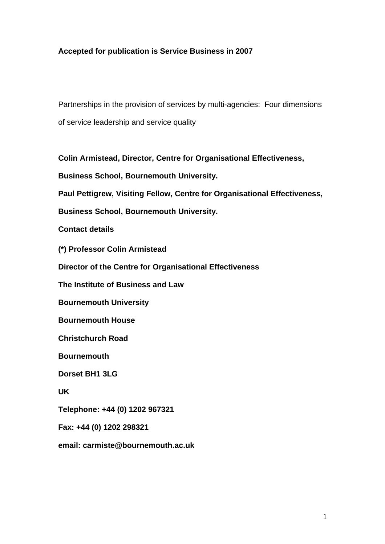## **Accepted for publication is Service Business in 2007**

Partnerships in the provision of services by multi-agencies: Four dimensions of service leadership and service quality

**Colin Armistead, Director, Centre for Organisational Effectiveness,** 

**Business School, Bournemouth University.** 

**Paul Pettigrew, Visiting Fellow, Centre for Organisational Effectiveness,** 

**Business School, Bournemouth University.** 

**Contact details** 

**(\*) Professor Colin Armistead** 

**Director of the Centre for Organisational Effectiveness** 

**The Institute of Business and Law** 

**Bournemouth University** 

**Bournemouth House** 

**Christchurch Road** 

**Bournemouth** 

**Dorset BH1 3LG** 

**UK** 

**Telephone: +44 (0) 1202 967321** 

**Fax: +44 (0) 1202 298321** 

**email: carmiste@bournemouth.ac.uk**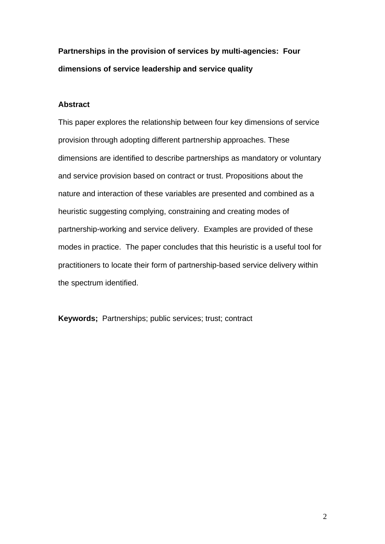**Partnerships in the provision of services by multi-agencies: Four dimensions of service leadership and service quality** 

## **Abstract**

This paper explores the relationship between four key dimensions of service provision through adopting different partnership approaches. These dimensions are identified to describe partnerships as mandatory or voluntary and service provision based on contract or trust. Propositions about the nature and interaction of these variables are presented and combined as a heuristic suggesting complying, constraining and creating modes of partnership-working and service delivery. Examples are provided of these modes in practice. The paper concludes that this heuristic is a useful tool for practitioners to locate their form of partnership-based service delivery within the spectrum identified.

**Keywords;** Partnerships; public services; trust; contract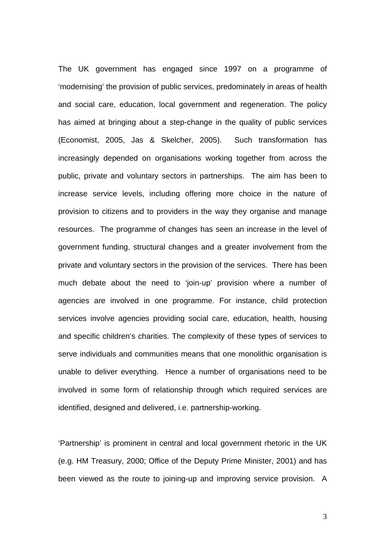The UK government has engaged since 1997 on a programme of 'modernising' the provision of public services, predominately in areas of health and social care, education, local government and regeneration. The policy has aimed at bringing about a step-change in the quality of public services (Economist, 2005, Jas & Skelcher, 2005). Such transformation has increasingly depended on organisations working together from across the public, private and voluntary sectors in partnerships. The aim has been to increase service levels, including offering more choice in the nature of provision to citizens and to providers in the way they organise and manage resources. The programme of changes has seen an increase in the level of government funding, structural changes and a greater involvement from the private and voluntary sectors in the provision of the services. There has been much debate about the need to 'join-up' provision where a number of agencies are involved in one programme. For instance, child protection services involve agencies providing social care, education, health, housing and specific children's charities. The complexity of these types of services to serve individuals and communities means that one monolithic organisation is unable to deliver everything. Hence a number of organisations need to be involved in some form of relationship through which required services are identified, designed and delivered, i.e. partnership-working.

'Partnership' is prominent in central and local government rhetoric in the UK (e.g. HM Treasury, 2000; Office of the Deputy Prime Minister, 2001) and has been viewed as the route to joining-up and improving service provision. A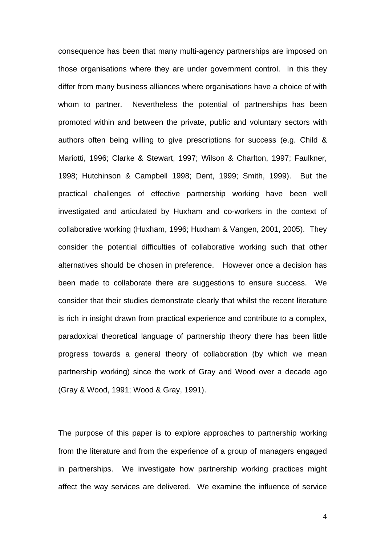consequence has been that many multi-agency partnerships are imposed on those organisations where they are under government control. In this they differ from many business alliances where organisations have a choice of with whom to partner. Nevertheless the potential of partnerships has been promoted within and between the private, public and voluntary sectors with authors often being willing to give prescriptions for success (e.g. Child & Mariotti, 1996; Clarke & Stewart, 1997; Wilson & Charlton, 1997; Faulkner, 1998; Hutchinson & Campbell 1998; Dent, 1999; Smith, 1999). But the practical challenges of effective partnership working have been well investigated and articulated by Huxham and co-workers in the context of collaborative working (Huxham, 1996; Huxham & Vangen, 2001, 2005). They consider the potential difficulties of collaborative working such that other alternatives should be chosen in preference. However once a decision has been made to collaborate there are suggestions to ensure success. We consider that their studies demonstrate clearly that whilst the recent literature is rich in insight drawn from practical experience and contribute to a complex, paradoxical theoretical language of partnership theory there has been little progress towards a general theory of collaboration (by which we mean partnership working) since the work of Gray and Wood over a decade ago (Gray & Wood, 1991; Wood & Gray, 1991).

The purpose of this paper is to explore approaches to partnership working from the literature and from the experience of a group of managers engaged in partnerships. We investigate how partnership working practices might affect the way services are delivered. We examine the influence of service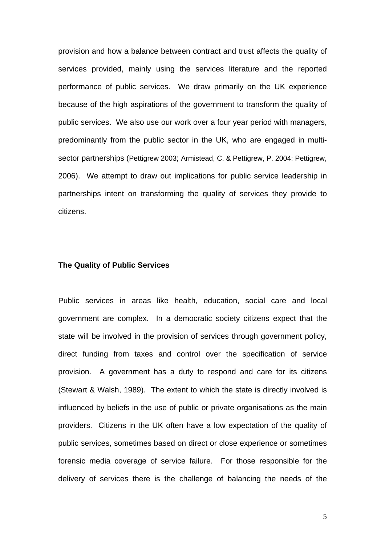provision and how a balance between contract and trust affects the quality of services provided, mainly using the services literature and the reported performance of public services. We draw primarily on the UK experience because of the high aspirations of the government to transform the quality of public services. We also use our work over a four year period with managers, predominantly from the public sector in the UK, who are engaged in multisector partnerships (Pettigrew 2003; Armistead, C. & Pettigrew, P. 2004: Pettigrew, 2006). We attempt to draw out implications for public service leadership in partnerships intent on transforming the quality of services they provide to citizens.

### **The Quality of Public Services**

Public services in areas like health, education, social care and local government are complex. In a democratic society citizens expect that the state will be involved in the provision of services through government policy, direct funding from taxes and control over the specification of service provision. A government has a duty to respond and care for its citizens (Stewart & Walsh, 1989). The extent to which the state is directly involved is influenced by beliefs in the use of public or private organisations as the main providers. Citizens in the UK often have a low expectation of the quality of public services, sometimes based on direct or close experience or sometimes forensic media coverage of service failure. For those responsible for the delivery of services there is the challenge of balancing the needs of the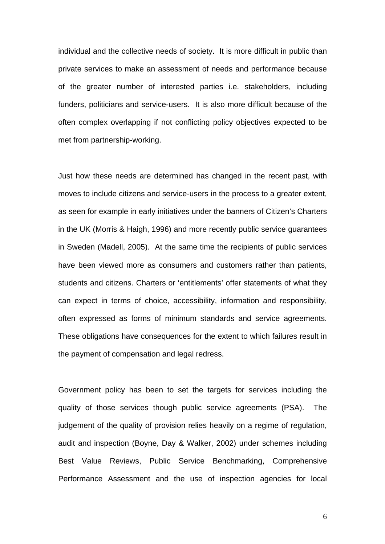individual and the collective needs of society. It is more difficult in public than private services to make an assessment of needs and performance because of the greater number of interested parties i.e. stakeholders, including funders, politicians and service-users. It is also more difficult because of the often complex overlapping if not conflicting policy objectives expected to be met from partnership-working.

Just how these needs are determined has changed in the recent past, with moves to include citizens and service-users in the process to a greater extent, as seen for example in early initiatives under the banners of Citizen's Charters in the UK (Morris & Haigh, 1996) and more recently public service guarantees in Sweden (Madell, 2005). At the same time the recipients of public services have been viewed more as consumers and customers rather than patients, students and citizens. Charters or 'entitlements' offer statements of what they can expect in terms of choice, accessibility, information and responsibility, often expressed as forms of minimum standards and service agreements. These obligations have consequences for the extent to which failures result in the payment of compensation and legal redress.

Government policy has been to set the targets for services including the quality of those services though public service agreements (PSA). The judgement of the quality of provision relies heavily on a regime of regulation, audit and inspection (Boyne, Day & Walker, 2002) under schemes including Best Value Reviews, Public Service Benchmarking, Comprehensive Performance Assessment and the use of inspection agencies for local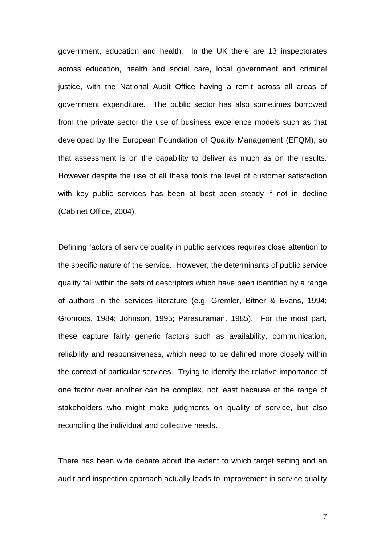government, education and health. In the UK there are 13 inspectorates across education, health and social care, local government and criminal justice, with the National Audit Office having a remit across all areas of government expenditure. The public sector has also sometimes borrowed from the private sector the use of business excellence models such as that developed by the European Foundation of Quality Management (EFQM), so that assessment is on the capability to deliver as much as on the results. However despite the use of all these tools the level of customer satisfaction with key public services has been at best been steady if not in decline (Cabinet Office, 2004).

Defining factors of service quality in public services requires close attention to the specific nature of the service. However, the determinants of public service quality fall within the sets of descriptors which have been identified by a range of authors in the services literature (e.g. Gremler, Bitner & Evans, 1994; Gronroos, 1984; Johnson, 1995; Parasuraman, 1985). For the most part, these capture fairly generic factors such as availability, communication, reliability and responsiveness, which need to be defined more closely within the context of particular services. Trying to identify the relative importance of one factor over another can be complex, not least because of the range of stakeholders who might make judgments on quality of service, but also reconciling the individual and collective needs.

There has been wide debate about the extent to which target setting and an audit and inspection approach actually leads to improvement in service quality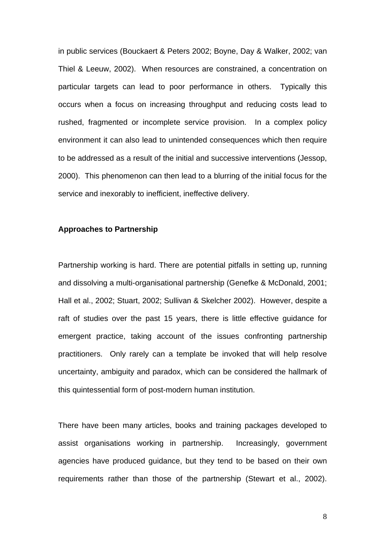in public services (Bouckaert & Peters 2002; Boyne, Day & Walker, 2002; van Thiel & Leeuw, 2002). When resources are constrained, a concentration on particular targets can lead to poor performance in others. Typically this occurs when a focus on increasing throughput and reducing costs lead to rushed, fragmented or incomplete service provision. In a complex policy environment it can also lead to unintended consequences which then require to be addressed as a result of the initial and successive interventions (Jessop, 2000). This phenomenon can then lead to a blurring of the initial focus for the service and inexorably to inefficient, ineffective delivery.

### **Approaches to Partnership**

Partnership working is hard. There are potential pitfalls in setting up, running and dissolving a multi-organisational partnership (Genefke & McDonald, 2001; Hall et al., 2002; Stuart, 2002; Sullivan & Skelcher 2002). However, despite a raft of studies over the past 15 years, there is little effective guidance for emergent practice, taking account of the issues confronting partnership practitioners. Only rarely can a template be invoked that will help resolve uncertainty, ambiguity and paradox, which can be considered the hallmark of this quintessential form of post-modern human institution.

There have been many articles, books and training packages developed to assist organisations working in partnership. Increasingly, government agencies have produced guidance, but they tend to be based on their own requirements rather than those of the partnership (Stewart et al., 2002).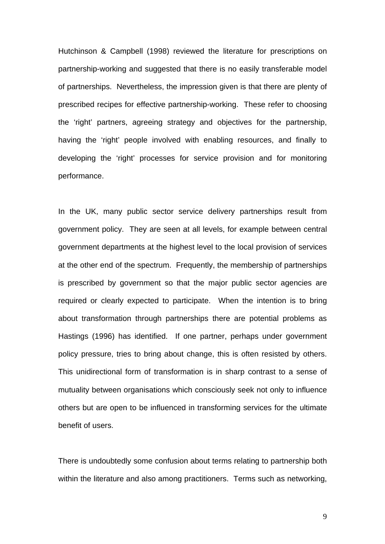Hutchinson & Campbell (1998) reviewed the literature for prescriptions on partnership-working and suggested that there is no easily transferable model of partnerships. Nevertheless, the impression given is that there are plenty of prescribed recipes for effective partnership-working. These refer to choosing the 'right' partners, agreeing strategy and objectives for the partnership, having the 'right' people involved with enabling resources, and finally to developing the 'right' processes for service provision and for monitoring performance.

In the UK, many public sector service delivery partnerships result from government policy. They are seen at all levels, for example between central government departments at the highest level to the local provision of services at the other end of the spectrum. Frequently, the membership of partnerships is prescribed by government so that the major public sector agencies are required or clearly expected to participate. When the intention is to bring about transformation through partnerships there are potential problems as Hastings (1996) has identified. If one partner, perhaps under government policy pressure, tries to bring about change, this is often resisted by others. This unidirectional form of transformation is in sharp contrast to a sense of mutuality between organisations which consciously seek not only to influence others but are open to be influenced in transforming services for the ultimate benefit of users.

There is undoubtedly some confusion about terms relating to partnership both within the literature and also among practitioners. Terms such as networking,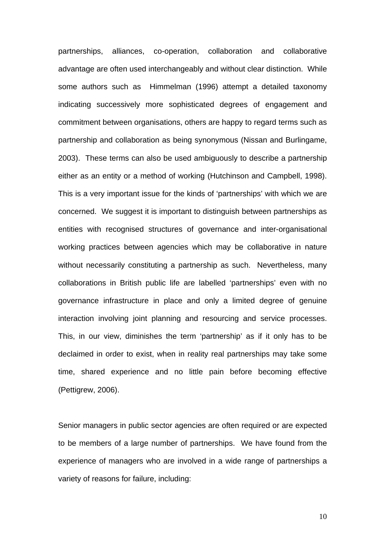partnerships, alliances, co-operation, collaboration and collaborative advantage are often used interchangeably and without clear distinction. While some authors such as Himmelman (1996) attempt a detailed taxonomy indicating successively more sophisticated degrees of engagement and commitment between organisations, others are happy to regard terms such as partnership and collaboration as being synonymous (Nissan and Burlingame, 2003). These terms can also be used ambiguously to describe a partnership either as an entity or a method of working (Hutchinson and Campbell, 1998). This is a very important issue for the kinds of 'partnerships' with which we are concerned. We suggest it is important to distinguish between partnerships as entities with recognised structures of governance and inter-organisational working practices between agencies which may be collaborative in nature without necessarily constituting a partnership as such. Nevertheless, many collaborations in British public life are labelled 'partnerships' even with no governance infrastructure in place and only a limited degree of genuine interaction involving joint planning and resourcing and service processes. This, in our view, diminishes the term 'partnership' as if it only has to be declaimed in order to exist, when in reality real partnerships may take some time, shared experience and no little pain before becoming effective (Pettigrew, 2006).

Senior managers in public sector agencies are often required or are expected to be members of a large number of partnerships. We have found from the experience of managers who are involved in a wide range of partnerships a variety of reasons for failure, including: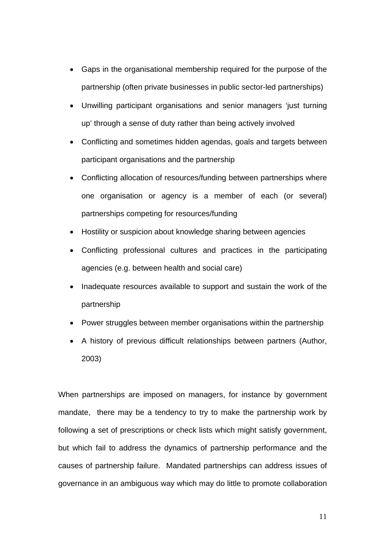- Gaps in the organisational membership required for the purpose of the partnership (often private businesses in public sector-led partnerships)
- Unwilling participant organisations and senior managers 'just turning up' through a sense of duty rather than being actively involved
- Conflicting and sometimes hidden agendas, goals and targets between participant organisations and the partnership
- Conflicting allocation of resources/funding between partnerships where one organisation or agency is a member of each (or several) partnerships competing for resources/funding
- Hostility or suspicion about knowledge sharing between agencies
- Conflicting professional cultures and practices in the participating agencies (e.g. between health and social care)
- Inadequate resources available to support and sustain the work of the partnership
- Power struggles between member organisations within the partnership
- A history of previous difficult relationships between partners (Author, 2003)

When partnerships are imposed on managers, for instance by government mandate, there may be a tendency to try to make the partnership work by following a set of prescriptions or check lists which might satisfy government, but which fail to address the dynamics of partnership performance and the causes of partnership failure. Mandated partnerships can address issues of governance in an ambiguous way which may do little to promote collaboration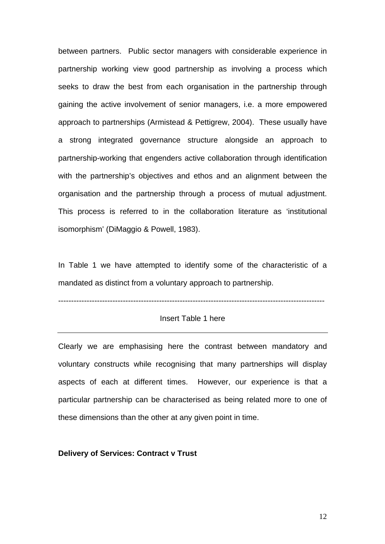between partners. Public sector managers with considerable experience in partnership working view good partnership as involving a process which seeks to draw the best from each organisation in the partnership through gaining the active involvement of senior managers, i.e. a more empowered approach to partnerships (Armistead & Pettigrew, 2004). These usually have a strong integrated governance structure alongside an approach to partnership-working that engenders active collaboration through identification with the partnership's objectives and ethos and an alignment between the organisation and the partnership through a process of mutual adjustment. This process is referred to in the collaboration literature as 'institutional isomorphism' (DiMaggio & Powell, 1983).

In Table 1 we have attempted to identify some of the characteristic of a mandated as distinct from a voluntary approach to partnership.

-------------------------------------------------------------------------------------------------------

### Insert Table 1 here

Clearly we are emphasising here the contrast between mandatory and voluntary constructs while recognising that many partnerships will display aspects of each at different times. However, our experience is that a particular partnership can be characterised as being related more to one of these dimensions than the other at any given point in time.

#### **Delivery of Services: Contract v Trust**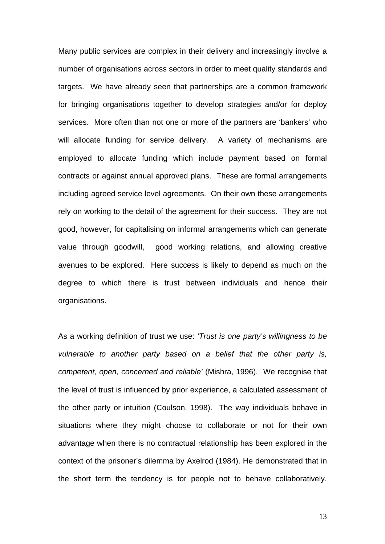Many public services are complex in their delivery and increasingly involve a number of organisations across sectors in order to meet quality standards and targets. We have already seen that partnerships are a common framework for bringing organisations together to develop strategies and/or for deploy services. More often than not one or more of the partners are 'bankers' who will allocate funding for service delivery. A variety of mechanisms are employed to allocate funding which include payment based on formal contracts or against annual approved plans. These are formal arrangements including agreed service level agreements. On their own these arrangements rely on working to the detail of the agreement for their success. They are not good, however, for capitalising on informal arrangements which can generate value through goodwill, good working relations, and allowing creative avenues to be explored. Here success is likely to depend as much on the degree to which there is trust between individuals and hence their organisations.

As a working definition of trust we use: *'Trust is one party's willingness to be vulnerable to another party based on a belief that the other party is, competent, open, concerned and reliable'* (Mishra, 1996). We recognise that the level of trust is influenced by prior experience, a calculated assessment of the other party or intuition (Coulson, 1998). The way individuals behave in situations where they might choose to collaborate or not for their own advantage when there is no contractual relationship has been explored in the context of the prisoner's dilemma by Axelrod (1984). He demonstrated that in the short term the tendency is for people not to behave collaboratively.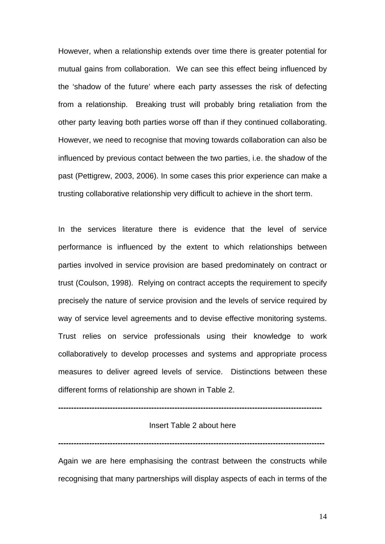However, when a relationship extends over time there is greater potential for mutual gains from collaboration. We can see this effect being influenced by the 'shadow of the future' where each party assesses the risk of defecting from a relationship. Breaking trust will probably bring retaliation from the other party leaving both parties worse off than if they continued collaborating. However, we need to recognise that moving towards collaboration can also be influenced by previous contact between the two parties, i.e. the shadow of the past (Pettigrew, 2003, 2006). In some cases this prior experience can make a trusting collaborative relationship very difficult to achieve in the short term.

In the services literature there is evidence that the level of service performance is influenced by the extent to which relationships between parties involved in service provision are based predominately on contract or trust (Coulson, 1998). Relying on contract accepts the requirement to specify precisely the nature of service provision and the levels of service required by way of service level agreements and to devise effective monitoring systems. Trust relies on service professionals using their knowledge to work collaboratively to develop processes and systems and appropriate process measures to deliver agreed levels of service. Distinctions between these different forms of relationship are shown in Table 2.

### **------------------------------------------------------------------------------------------------------**

## Insert Table 2 about here

**-------------------------------------------------------------------------------------------------------** 

Again we are here emphasising the contrast between the constructs while recognising that many partnerships will display aspects of each in terms of the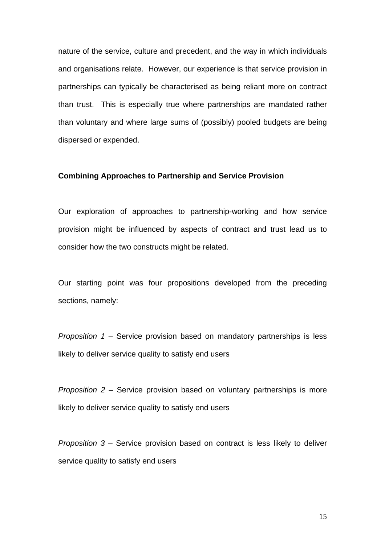nature of the service, culture and precedent, and the way in which individuals and organisations relate. However, our experience is that service provision in partnerships can typically be characterised as being reliant more on contract than trust. This is especially true where partnerships are mandated rather than voluntary and where large sums of (possibly) pooled budgets are being dispersed or expended.

#### **Combining Approaches to Partnership and Service Provision**

Our exploration of approaches to partnership-working and how service provision might be influenced by aspects of contract and trust lead us to consider how the two constructs might be related.

Our starting point was four propositions developed from the preceding sections, namely:

*Proposition 1* – Service provision based on mandatory partnerships is less likely to deliver service quality to satisfy end users

*Proposition 2* – Service provision based on voluntary partnerships is more likely to deliver service quality to satisfy end users

*Proposition 3* – Service provision based on contract is less likely to deliver service quality to satisfy end users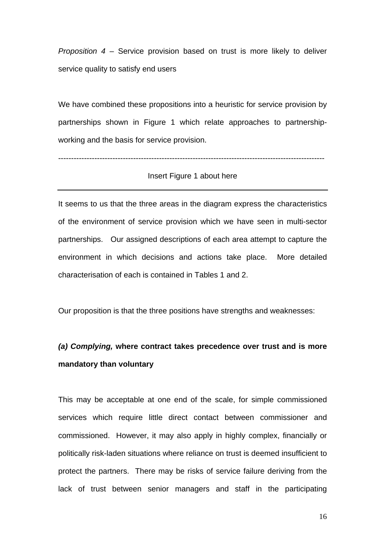*Proposition 4* – Service provision based on trust is more likely to deliver service quality to satisfy end users

We have combined these propositions into a heuristic for service provision by partnerships shown in Figure 1 which relate approaches to partnershipworking and the basis for service provision.

#### -------------------------------------------------------------------------------------------------------

### Insert Figure 1 about here

It seems to us that the three areas in the diagram express the characteristics of the environment of service provision which we have seen in multi-sector partnerships. Our assigned descriptions of each area attempt to capture the environment in which decisions and actions take place. More detailed characterisation of each is contained in Tables 1 and 2.

Our proposition is that the three positions have strengths and weaknesses:

# *(a) Complying,* **where contract takes precedence over trust and is more mandatory than voluntary**

This may be acceptable at one end of the scale, for simple commissioned services which require little direct contact between commissioner and commissioned. However, it may also apply in highly complex, financially or politically risk-laden situations where reliance on trust is deemed insufficient to protect the partners. There may be risks of service failure deriving from the lack of trust between senior managers and staff in the participating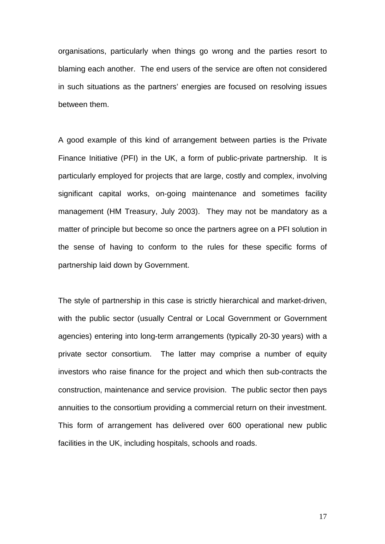organisations, particularly when things go wrong and the parties resort to blaming each another. The end users of the service are often not considered in such situations as the partners' energies are focused on resolving issues between them.

A good example of this kind of arrangement between parties is the Private Finance Initiative (PFI) in the UK, a form of public-private partnership. It is particularly employed for projects that are large, costly and complex, involving significant capital works, on-going maintenance and sometimes facility management (HM Treasury, July 2003). They may not be mandatory as a matter of principle but become so once the partners agree on a PFI solution in the sense of having to conform to the rules for these specific forms of partnership laid down by Government.

The style of partnership in this case is strictly hierarchical and market-driven, with the public sector (usually Central or Local Government or Government agencies) entering into long-term arrangements (typically 20-30 years) with a private sector consortium. The latter may comprise a number of equity investors who raise finance for the project and which then sub-contracts the construction, maintenance and service provision. The public sector then pays annuities to the consortium providing a commercial return on their investment. This form of arrangement has delivered over 600 operational new public facilities in the UK, including hospitals, schools and roads.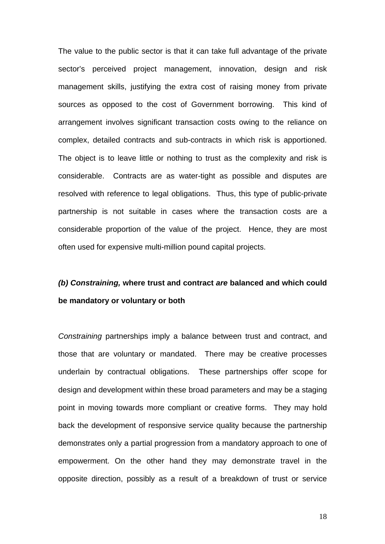The value to the public sector is that it can take full advantage of the private sector's perceived project management, innovation, design and risk management skills, justifying the extra cost of raising money from private sources as opposed to the cost of Government borrowing. This kind of arrangement involves significant transaction costs owing to the reliance on complex, detailed contracts and sub-contracts in which risk is apportioned. The object is to leave little or nothing to trust as the complexity and risk is considerable. Contracts are as water-tight as possible and disputes are resolved with reference to legal obligations. Thus, this type of public-private partnership is not suitable in cases where the transaction costs are a considerable proportion of the value of the project. Hence, they are most often used for expensive multi-million pound capital projects.

# *(b) Constraining,* **where trust and contract** *are* **balanced and which could be mandatory or voluntary or both**

*Constraining* partnerships imply a balance between trust and contract, and those that are voluntary or mandated. There may be creative processes underlain by contractual obligations. These partnerships offer scope for design and development within these broad parameters and may be a staging point in moving towards more compliant or creative forms. They may hold back the development of responsive service quality because the partnership demonstrates only a partial progression from a mandatory approach to one of empowerment. On the other hand they may demonstrate travel in the opposite direction, possibly as a result of a breakdown of trust or service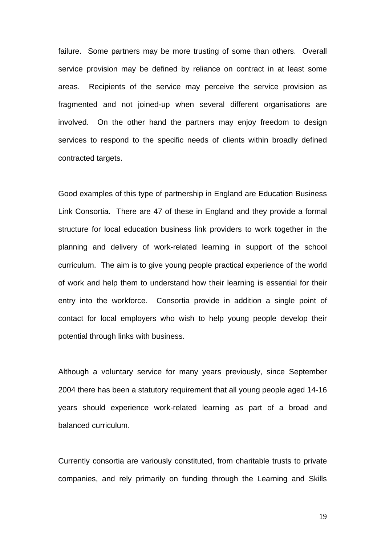failure. Some partners may be more trusting of some than others. Overall service provision may be defined by reliance on contract in at least some areas. Recipients of the service may perceive the service provision as fragmented and not joined-up when several different organisations are involved. On the other hand the partners may enjoy freedom to design services to respond to the specific needs of clients within broadly defined contracted targets.

Good examples of this type of partnership in England are Education Business Link Consortia. There are 47 of these in England and they provide a formal structure for local education business link providers to work together in the planning and delivery of work-related learning in support of the school curriculum. The aim is to give young people practical experience of the world of work and help them to understand how their learning is essential for their entry into the workforce. Consortia provide in addition a single point of contact for local employers who wish to help young people develop their potential through links with business.

Although a voluntary service for many years previously, since September 2004 there has been a statutory requirement that all young people aged 14-16 years should experience work-related learning as part of a broad and balanced curriculum.

Currently consortia are variously constituted, from charitable trusts to private companies, and rely primarily on funding through the Learning and Skills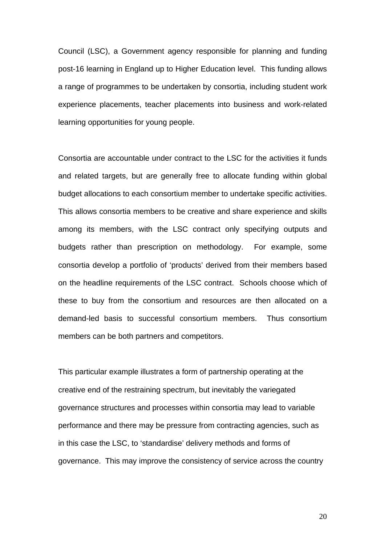Council (LSC), a Government agency responsible for planning and funding post-16 learning in England up to Higher Education level. This funding allows a range of programmes to be undertaken by consortia, including student work experience placements, teacher placements into business and work-related learning opportunities for young people.

Consortia are accountable under contract to the LSC for the activities it funds and related targets, but are generally free to allocate funding within global budget allocations to each consortium member to undertake specific activities. This allows consortia members to be creative and share experience and skills among its members, with the LSC contract only specifying outputs and budgets rather than prescription on methodology. For example, some consortia develop a portfolio of 'products' derived from their members based on the headline requirements of the LSC contract. Schools choose which of these to buy from the consortium and resources are then allocated on a demand-led basis to successful consortium members. Thus consortium members can be both partners and competitors.

This particular example illustrates a form of partnership operating at the creative end of the restraining spectrum, but inevitably the variegated governance structures and processes within consortia may lead to variable performance and there may be pressure from contracting agencies, such as in this case the LSC, to 'standardise' delivery methods and forms of governance. This may improve the consistency of service across the country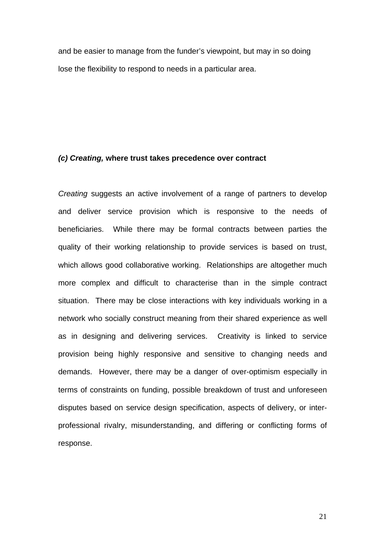and be easier to manage from the funder's viewpoint, but may in so doing lose the flexibility to respond to needs in a particular area.

#### *(c) Creating,* **where trust takes precedence over contract**

*Creating* suggests an active involvement of a range of partners to develop and deliver service provision which is responsive to the needs of beneficiaries. While there may be formal contracts between parties the quality of their working relationship to provide services is based on trust, which allows good collaborative working. Relationships are altogether much more complex and difficult to characterise than in the simple contract situation. There may be close interactions with key individuals working in a network who socially construct meaning from their shared experience as well as in designing and delivering services. Creativity is linked to service provision being highly responsive and sensitive to changing needs and demands. However, there may be a danger of over-optimism especially in terms of constraints on funding, possible breakdown of trust and unforeseen disputes based on service design specification, aspects of delivery, or interprofessional rivalry, misunderstanding, and differing or conflicting forms of response.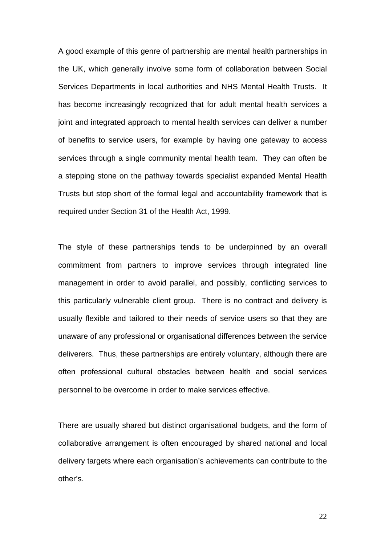A good example of this genre of partnership are mental health partnerships in the UK, which generally involve some form of collaboration between Social Services Departments in local authorities and NHS Mental Health Trusts. It has become increasingly recognized that for adult mental health services a joint and integrated approach to mental health services can deliver a number of benefits to service users, for example by having one gateway to access services through a single community mental health team. They can often be a stepping stone on the pathway towards specialist expanded Mental Health Trusts but stop short of the formal legal and accountability framework that is required under Section 31 of the Health Act, 1999.

The style of these partnerships tends to be underpinned by an overall commitment from partners to improve services through integrated line management in order to avoid parallel, and possibly, conflicting services to this particularly vulnerable client group. There is no contract and delivery is usually flexible and tailored to their needs of service users so that they are unaware of any professional or organisational differences between the service deliverers. Thus, these partnerships are entirely voluntary, although there are often professional cultural obstacles between health and social services personnel to be overcome in order to make services effective.

There are usually shared but distinct organisational budgets, and the form of collaborative arrangement is often encouraged by shared national and local delivery targets where each organisation's achievements can contribute to the other's.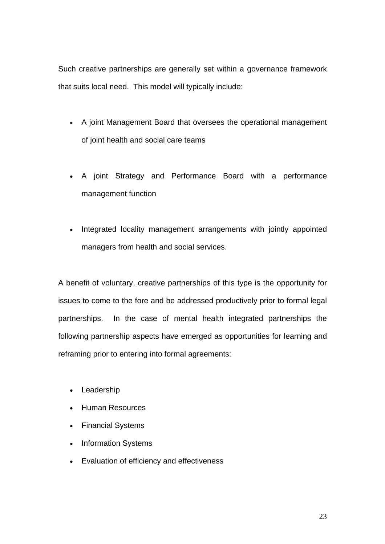Such creative partnerships are generally set within a governance framework that suits local need. This model will typically include:

- A joint Management Board that oversees the operational management of joint health and social care teams
- A joint Strategy and Performance Board with a performance management function
- Integrated locality management arrangements with jointly appointed managers from health and social services.

A benefit of voluntary, creative partnerships of this type is the opportunity for issues to come to the fore and be addressed productively prior to formal legal partnerships. In the case of mental health integrated partnerships the following partnership aspects have emerged as opportunities for learning and reframing prior to entering into formal agreements:

- Leadership
- Human Resources
- Financial Systems
- Information Systems
- Evaluation of efficiency and effectiveness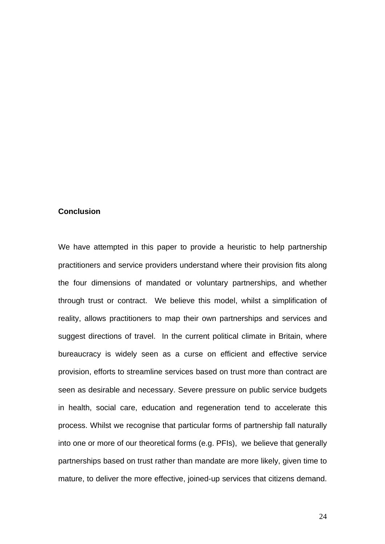## **Conclusion**

We have attempted in this paper to provide a heuristic to help partnership practitioners and service providers understand where their provision fits along the four dimensions of mandated or voluntary partnerships, and whether through trust or contract. We believe this model, whilst a simplification of reality, allows practitioners to map their own partnerships and services and suggest directions of travel. In the current political climate in Britain, where bureaucracy is widely seen as a curse on efficient and effective service provision, efforts to streamline services based on trust more than contract are seen as desirable and necessary. Severe pressure on public service budgets in health, social care, education and regeneration tend to accelerate this process. Whilst we recognise that particular forms of partnership fall naturally into one or more of our theoretical forms (e.g. PFIs), we believe that generally partnerships based on trust rather than mandate are more likely, given time to mature, to deliver the more effective, joined-up services that citizens demand.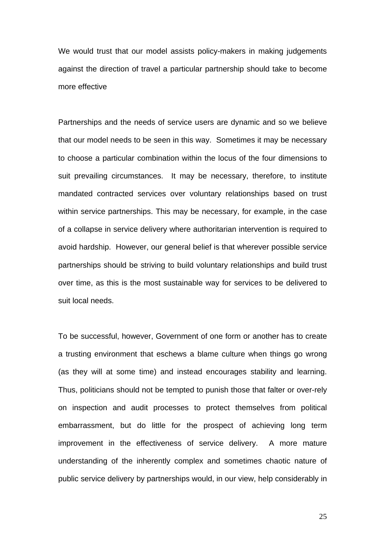We would trust that our model assists policy-makers in making judgements against the direction of travel a particular partnership should take to become more effective

Partnerships and the needs of service users are dynamic and so we believe that our model needs to be seen in this way. Sometimes it may be necessary to choose a particular combination within the locus of the four dimensions to suit prevailing circumstances. It may be necessary, therefore, to institute mandated contracted services over voluntary relationships based on trust within service partnerships. This may be necessary, for example, in the case of a collapse in service delivery where authoritarian intervention is required to avoid hardship. However, our general belief is that wherever possible service partnerships should be striving to build voluntary relationships and build trust over time, as this is the most sustainable way for services to be delivered to suit local needs.

To be successful, however, Government of one form or another has to create a trusting environment that eschews a blame culture when things go wrong (as they will at some time) and instead encourages stability and learning. Thus, politicians should not be tempted to punish those that falter or over-rely on inspection and audit processes to protect themselves from political embarrassment, but do little for the prospect of achieving long term improvement in the effectiveness of service delivery. A more mature understanding of the inherently complex and sometimes chaotic nature of public service delivery by partnerships would, in our view, help considerably in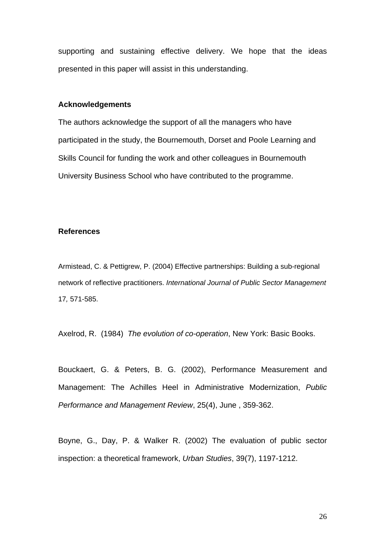supporting and sustaining effective delivery. We hope that the ideas presented in this paper will assist in this understanding.

### **Acknowledgements**

The authors acknowledge the support of all the managers who have participated in the study, the Bournemouth, Dorset and Poole Learning and Skills Council for funding the work and other colleagues in Bournemouth University Business School who have contributed to the programme.

### **References**

Armistead, C. & Pettigrew, P. (2004) Effective partnerships: Building a sub-regional network of reflective practitioners. *International Journal of Public Sector Management*  17*,* 571-585.

Axelrod, R. (1984) *The evolution of co-operation*, New York: Basic Books.

Bouckaert, G. & Peters, B. G. (2002), Performance Measurement and Management: The Achilles Heel in Administrative Modernization, *Public Performance and Management Review*, 25(4), June , 359-362.

Boyne, G., Day, P. & Walker R. (2002) The evaluation of public sector inspection: a theoretical framework, *Urban Studies*, 39(7), 1197-1212.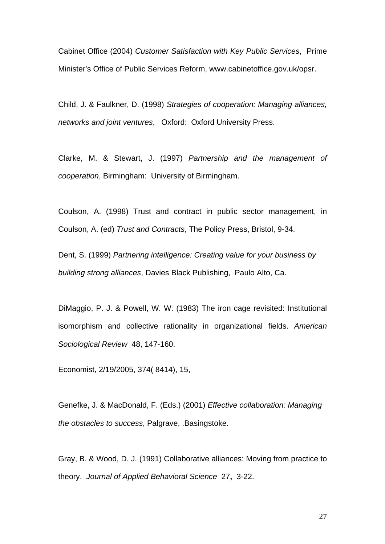Cabinet Office (2004) *Customer Satisfaction with Key Public Services*, Prime Minister's Office of Public Services Reform, www.cabinetoffice.gov.uk/opsr.

Child, J. & Faulkner, D. (1998) *Strategies of cooperation: Managing alliances, networks and joint ventures*, Oxford: Oxford University Press.

Clarke, M. & Stewart, J. (1997) *Partnership and the management of cooperation*, Birmingham: University of Birmingham.

Coulson, A. (1998) Trust and contract in public sector management, in Coulson, A. (ed) *Trust and Contracts*, The Policy Press, Bristol, 9-34.

Dent, S. (1999) *Partnering intelligence: Creating value for your business by building strong alliances*, Davies Black Publishing, Paulo Alto, Ca.

DiMaggio, P. J. & Powell, W. W. (1983) The iron cage revisited: Institutional isomorphism and collective rationality in organizational fields. *American Sociological Review* 48, 147-160.

Economist, 2/19/2005, 374( 8414), 15,

Genefke, J. & MacDonald, F. (Eds.) (2001) *Effective collaboration: Managing the obstacles to success*, Palgrave, .Basingstoke.

Gray, B. & Wood, D. J. (1991) Collaborative alliances: Moving from practice to theory. *Journal of Applied Behavioral Science* 27**,** 3-22.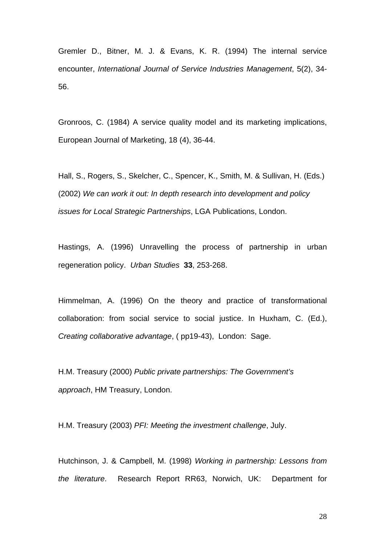Gremler D., Bitner, M. J. & Evans, K. R. (1994) The internal service encounter, *International Journal of Service Industries Management*, 5(2), 34- 56.

Gronroos, C. (1984) A service quality model and its marketing implications, European Journal of Marketing, 18 (4), 36-44.

Hall, S., Rogers, S., Skelcher, C., Spencer, K., Smith, M. & Sullivan, H. (Eds.) (2002) *We can work it out: In depth research into development and policy issues for Local Strategic Partnerships*, LGA Publications, London.

Hastings, A. (1996) Unravelling the process of partnership in urban regeneration policy. *Urban Studies* **33**, 253-268.

Himmelman, A. (1996) On the theory and practice of transformational collaboration: from social service to social justice. In Huxham, C. (Ed.), *Creating collaborative advantage*, ( pp19-43), London: Sage.

H.M. Treasury (2000) *Public private partnerships: The Government's approach*, HM Treasury, London.

H.M. Treasury (2003) *PFI: Meeting the investment challenge*, July.

Hutchinson, J. & Campbell, M. (1998) *Working in partnership: Lessons from the literature*. Research Report RR63, Norwich, UK: Department for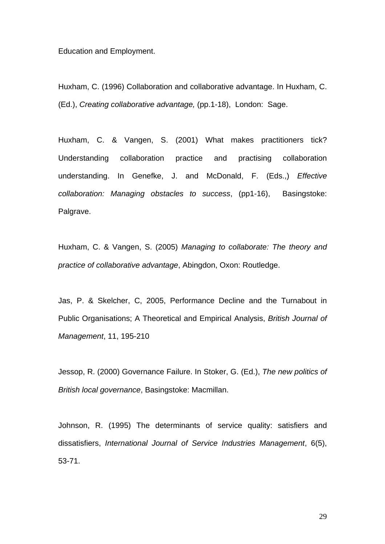#### Education and Employment.

Huxham, C. (1996) Collaboration and collaborative advantage. In Huxham, C. (Ed.), *Creating collaborative advantage,* (pp.1-18), London: Sage.

Huxham, C. & Vangen, S. (2001) What makes practitioners tick? Understanding collaboration practice and practising collaboration understanding. In Genefke, J. and McDonald, F. (Eds.,) *Effective collaboration: Managing obstacles to success*, (pp1-16), Basingstoke: Palgrave.

Huxham, C. & Vangen, S. (2005) *Managing to collaborate: The theory and practice of collaborative advantage*, Abingdon, Oxon: Routledge.

Jas, P. & Skelcher, C, 2005, Performance Decline and the Turnabout in Public Organisations; A Theoretical and Empirical Analysis, *British Journal of Management*, 11, 195-210

Jessop, R. (2000) Governance Failure. In Stoker, G. (Ed.), *The new politics of British local governance*, Basingstoke: Macmillan.

Johnson, R. (1995) The determinants of service quality: satisfiers and dissatisfiers, *International Journal of Service Industries Management*, 6(5), 53-71.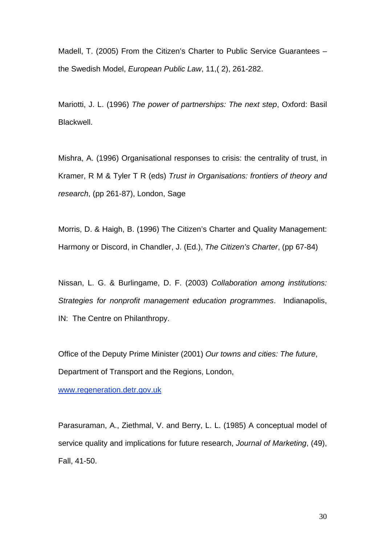Madell, T. (2005) From the Citizen's Charter to Public Service Guarantees – the Swedish Model, *European Public Law*, 11,( 2), 261-282.

Mariotti, J. L. (1996) *The power of partnerships: The next step*, Oxford: Basil Blackwell.

Mishra, A. (1996) Organisational responses to crisis: the centrality of trust, in Kramer, R M & Tyler T R (eds) *Trust in Organisations: frontiers of theory and research*, (pp 261-87), London, Sage

Morris, D. & Haigh, B. (1996) The Citizen's Charter and Quality Management: Harmony or Discord, in Chandler, J. (Ed.), *The Citizen's Charter*, (pp 67-84)

Nissan, L. G. & Burlingame, D. F. (2003) *Collaboration among institutions: Strategies for nonprofit management education programmes*. Indianapolis, IN: The Centre on Philanthropy.

Office of the Deputy Prime Minister (2001) *Our towns and cities: The future*, Department of Transport and the Regions, London,

[www.regeneration.detr.gov.uk](http://www.regeneration.detr.gov.uk/)

Parasuraman, A., Ziethmal, V. and Berry, L. L. (1985) A conceptual model of service quality and implications for future research, *Journal of Marketing*, (49), Fall, 41-50.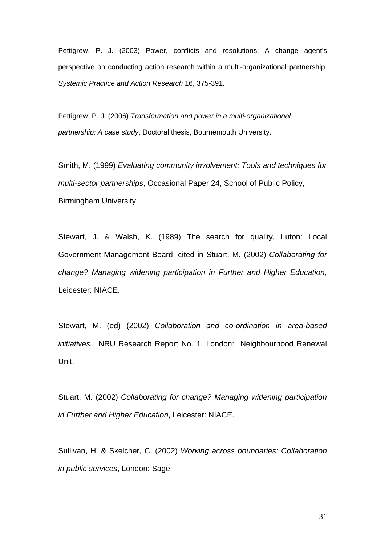Pettigrew, P. J. (2003) Power, conflicts and resolutions: A change agent's perspective on conducting action research within a multi-organizational partnership. *Systemic Practice and Action Research* 16, 375-391.

Pettigrew, P. J. (2006) *Transformation and power in a multi-organizational partnership: A case study*, Doctoral thesis, Bournemouth University.

Smith, M. (1999) *Evaluating community involvement: Tools and techniques for multi-sector partnerships*, Occasional Paper 24, School of Public Policy, Birmingham University.

Stewart, J. & Walsh, K. (1989) The search for quality, Luton: Local Government Management Board, cited in Stuart, M. (2002) *Collaborating for change? Managing widening participation in Further and Higher Education*, Leicester: NIACE.

Stewart, M. (ed) (2002) *Collaboration and co-ordination in area-based initiatives.* NRU Research Report No. 1, London: Neighbourhood Renewal Unit.

Stuart, M. (2002) *Collaborating for change? Managing widening participation in Further and Higher Education*, Leicester: NIACE.

Sullivan, H. & Skelcher, C. (2002) *Working across boundaries: Collaboration in public services*, London: Sage.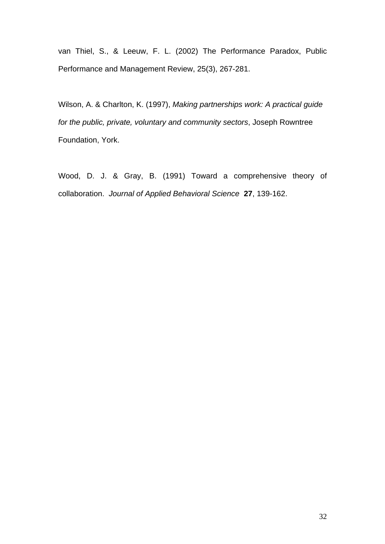van Thiel, S., & Leeuw, F. L. (2002) The Performance Paradox, Public Performance and Management Review, 25(3), 267-281.

Wilson, A. & Charlton, K. (1997), *Making partnerships work: A practical guide for the public, private, voluntary and community sectors*, Joseph Rowntree Foundation, York.

Wood, D. J. & Gray, B. (1991) Toward a comprehensive theory of collaboration. *Journal of Applied Behavioral Science* **27**, 139-162.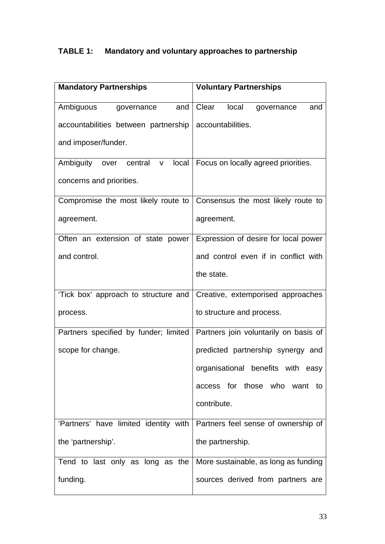# **TABLE 1: Mandatory and voluntary approaches to partnership**

| <b>Mandatory Partnerships</b>                                                 | <b>Voluntary Partnerships</b>               |
|-------------------------------------------------------------------------------|---------------------------------------------|
| Ambiguous<br>and<br>governance                                                | Clear<br>local<br>and<br>governance         |
| accountabilities between partnership                                          | accountabilities.                           |
| and imposer/funder.                                                           |                                             |
| Ambiguity over central<br>V                                                   | local   Focus on locally agreed priorities. |
| concerns and priorities.                                                      |                                             |
| Compromise the most likely route to                                           | Consensus the most likely route to          |
| agreement.                                                                    | agreement.                                  |
| Often an extension of state power                                             | Expression of desire for local power        |
| and control.                                                                  | and control even if in conflict with        |
|                                                                               | the state.                                  |
| 'Tick box' approach to structure and                                          | Creative, extemporised approaches           |
| process.                                                                      | to structure and process.                   |
| Partners specified by funder; limited   Partners join voluntarily on basis of |                                             |
| scope for change.                                                             | predicted partnership synergy and           |
|                                                                               | organisational benefits with easy           |
|                                                                               | access for those who want to                |
|                                                                               | contribute.                                 |
| 'Partners' have limited identity with   Partners feel sense of ownership of   |                                             |
| the 'partnership'.                                                            | the partnership.                            |
| Tend to last only as long as the                                              | More sustainable, as long as funding        |
| funding.                                                                      | sources derived from partners are           |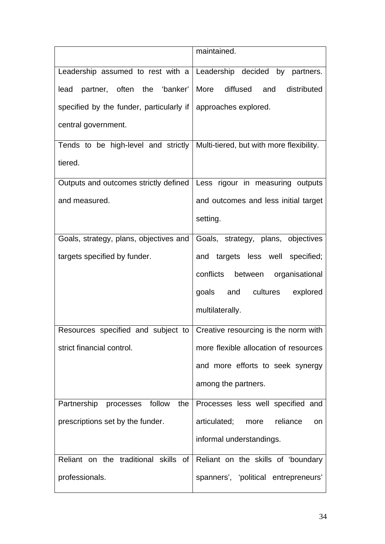|                                                                                 | maintained.                                   |
|---------------------------------------------------------------------------------|-----------------------------------------------|
| Leadership assumed to rest with a Leadership decided by partners.               |                                               |
| partner, often the 'banker'<br>lead                                             | More diffused and<br>distributed              |
| specified by the funder, particularly if   approaches explored.                 |                                               |
| central government.                                                             |                                               |
| Tends to be high-level and strictly   Multi-tiered, but with more flexibility.  |                                               |
| tiered.                                                                         |                                               |
| Outputs and outcomes strictly defined   Less rigour in measuring outputs        |                                               |
| and measured.                                                                   | and outcomes and less initial target          |
|                                                                                 | setting.                                      |
| Goals, strategy, plans, objectives and                                          | Goals, strategy, plans, objectives            |
| targets specified by funder.                                                    | and targets less well specified;              |
|                                                                                 | conflicts<br>between organisational           |
|                                                                                 | goals and cultures<br>explored                |
|                                                                                 | multilaterally.                               |
| Resources specified and subject to $\vert$ Creative resourcing is the norm with |                                               |
| strict financial control.                                                       | more flexible allocation of resources         |
|                                                                                 | and more efforts to seek synergy              |
|                                                                                 | among the partners.                           |
| Partnership processes<br>follow<br>the                                          | Processes less well specified and             |
| prescriptions set by the funder.                                                | articulated;<br>reliance<br>more<br><b>on</b> |
|                                                                                 | informal understandings.                      |
| Reliant on the traditional skills of                                            | Reliant on the skills of 'boundary            |
| professionals.                                                                  | spanners', 'political entrepreneurs'          |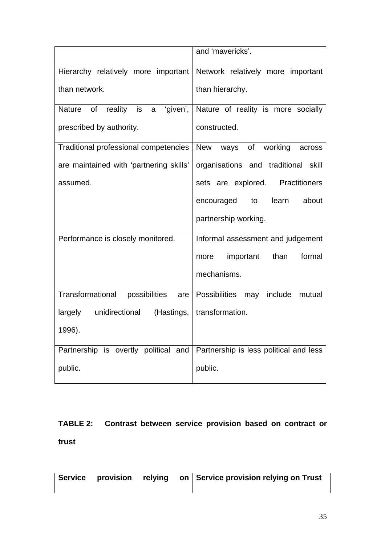|                                                       | and 'mavericks'.                       |
|-------------------------------------------------------|----------------------------------------|
| Hierarchy relatively more important                   | Network relatively more important      |
| than network.                                         | than hierarchy.                        |
| of<br>reality<br>'given',<br><b>Nature</b><br>is<br>a | Nature of reality is more socially     |
| prescribed by authority.                              | constructed.                           |
| Traditional professional competencies                 | working<br>New<br>ways<br>of<br>across |
| are maintained with 'partnering skills'               | organisations and traditional skill    |
| assumed.                                              | sets are explored. Practitioners       |
|                                                       | learn<br>about<br>encouraged<br>to     |
|                                                       | partnership working.                   |
| Performance is closely monitored.                     | Informal assessment and judgement      |
|                                                       | important<br>than<br>formal<br>more    |
|                                                       | mechanisms.                            |
| Transformational<br>possibilities<br>are              | Possibilities may<br>include<br>mutual |
| largely<br>unidirectional<br>(Hastings,               | transformation.                        |
| 1996).                                                |                                        |
| Partnership is overtly political and                  | Partnership is less political and less |
| public.                                               | public.                                |

# **TABLE 2: Contrast between service provision based on contract or trust**

|  |  |  |  | Service provision relying on Service provision relying on Trust |
|--|--|--|--|-----------------------------------------------------------------|
|--|--|--|--|-----------------------------------------------------------------|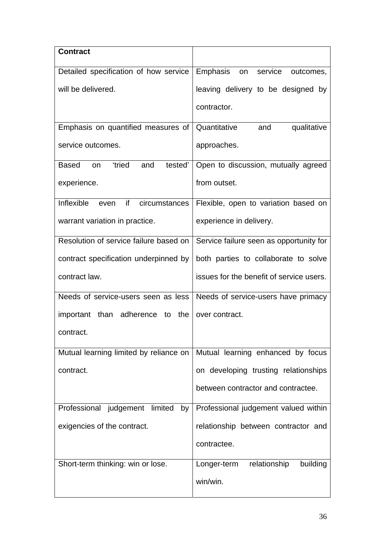| <b>Contract</b>                                             |                                          |
|-------------------------------------------------------------|------------------------------------------|
| Detailed specification of how service                       | Emphasis<br>service<br>outcomes,<br>on   |
| will be delivered.                                          | leaving delivery to be designed by       |
|                                                             | contractor.                              |
| Emphasis on quantified measures of                          | qualitative<br>Quantitative<br>and       |
| service outcomes.                                           | approaches.                              |
| <i>tried</i><br><b>Based</b><br>tested'<br>and<br><b>on</b> | Open to discussion, mutually agreed      |
| experience.                                                 | from outset.                             |
| Inflexible<br>if<br>circumstances<br>even                   | Flexible, open to variation based on     |
| warrant variation in practice.                              | experience in delivery.                  |
| Resolution of service failure based on                      | Service failure seen as opportunity for  |
| contract specification underpinned by                       | both parties to collaborate to solve     |
| contract law.                                               | issues for the benefit of service users. |
| Needs of service-users seen as less                         | Needs of service-users have primacy      |
| important<br>than adherence to<br>the                       | over contract.                           |
| contract.                                                   |                                          |
| Mutual learning limited by reliance on                      | Mutual learning enhanced by focus        |
| contract.                                                   | on developing trusting relationships     |
|                                                             | between contractor and contractee.       |
| Professional judgement limited by                           | Professional judgement valued within     |
| exigencies of the contract.                                 | relationship between contractor and      |
|                                                             | contractee.                              |
| Short-term thinking: win or lose.                           | relationship<br>building<br>Longer-term  |
|                                                             | win/win.                                 |